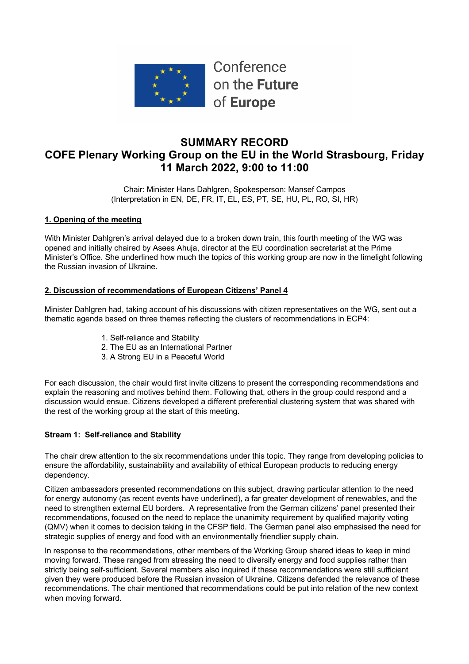

Conference on the Future of Europe

# **SUMMARY RECORD COFE Plenary Working Group on the EU in the World Strasbourg, Friday 11 March 2022, 9:00 to 11:00**

Chair: Minister Hans Dahlgren, Spokesperson: Mansef Campos (Interpretation in EN, DE, FR, IT, EL, ES, PT, SE, HU, PL, RO, SI, HR)

## **1. Opening of the meeting**

With Minister Dahlgren's arrival delayed due to a broken down train, this fourth meeting of the WG was opened and initially chaired by Asees Ahuja, director at the EU coordination secretariat at the Prime Minister's Office. She underlined how much the topics of this working group are now in the limelight following the Russian invasion of Ukraine.

### **2. Discussion of recommendations of European Citizens' Panel 4**

Minister Dahlgren had, taking account of his discussions with citizen representatives on the WG, sent out a thematic agenda based on three themes reflecting the clusters of recommendations in ECP4:

- 1. Self-reliance and Stability
- 2. The EU as an International Partner
- 3. A Strong EU in a Peaceful World

For each discussion, the chair would first invite citizens to present the corresponding recommendations and explain the reasoning and motives behind them. Following that, others in the group could respond and a discussion would ensue. Citizens developed a different preferential clustering system that was shared with the rest of the working group at the start of this meeting.

## **Stream 1: Self-reliance and Stability**

The chair drew attention to the six recommendations under this topic. They range from developing policies to ensure the affordability, sustainability and availability of ethical European products to reducing energy dependency.

Citizen ambassadors presented recommendations on this subject, drawing particular attention to the need for energy autonomy (as recent events have underlined), a far greater development of renewables, and the need to strengthen external EU borders. A representative from the German citizens' panel presented their recommendations, focused on the need to replace the unanimity requirement by qualified majority voting (QMV) when it comes to decision taking in the CFSP field. The German panel also emphasised the need for strategic supplies of energy and food with an environmentally friendlier supply chain.

In response to the recommendations, other members of the Working Group shared ideas to keep in mind moving forward. These ranged from stressing the need to diversify energy and food supplies rather than strictly being self-sufficient. Several members also inquired if these recommendations were still sufficient given they were produced before the Russian invasion of Ukraine. Citizens defended the relevance of these recommendations. The chair mentioned that recommendations could be put into relation of the new context when moving forward.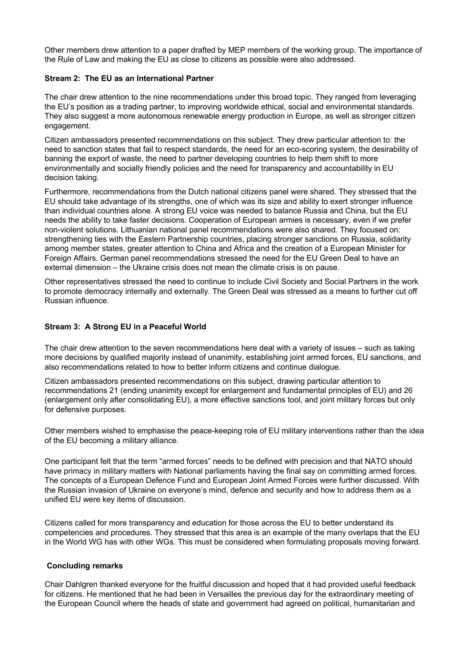Other members drew attention to a paper drafted by MEP members of the working group. The importance of the Rule of Law and making the EU as close to citizens as possible were also addressed.

#### **Stream 2: The EU as an International Partner**

The chair drew attention to the nine recommendations under this broad topic. They ranged from leveraging the EU's position as a trading partner, to improving worldwide ethical, social and environmental standards. They also suggest a more autonomous renewable energy production in Europe, as well as stronger citizen engagement.

Citizen ambassadors presented recommendations on this subject. They drew particular attention to: the need to sanction states that fail to respect standards, the need for an eco-scoring system, the desirability of banning the export of waste, the need to partner developing countries to help them shift to more environmentally and socially friendly policies and the need for transparency and accountability in EU decision taking.

Furthermore, recommendations from the Dutch national citizens panel were shared. They stressed that the EU should take advantage of its strengths, one of which was its size and ability to exert stronger influence than individual countries alone. A strong EU voice was needed to balance Russia and China, but the EU needs the ability to take faster decisions. Cooperation of European armies is necessary, even if we prefer non-violent solutions. Lithuanian national panel recommendations were also shared. They focused on: strengthening ties with the Eastern Partnership countries, placing stronger sanctions on Russia, solidarity among member states, greater attention to China and Africa and the creation of a European Minister for Foreign Affairs. German panel recommendations stressed the need for the EU Green Deal to have an external dimension – the Ukraine crisis does not mean the climate crisis is on pause.

Other representatives stressed the need to continue to include Civil Society and Social Partners in the work to promote democracy internally and externally. The Green Deal was stressed as a means to further cut off Russian influence.

#### **Stream 3: A Strong EU in a Peaceful World**

The chair drew attention to the seven recommendations here deal with a variety of issues – such as taking more decisions by qualified majority instead of unanimity, establishing joint armed forces, EU sanctions, and also recommendations related to how to better inform citizens and continue dialogue.

Citizen ambassadors presented recommendations on this subject, drawing particular attention to recommendations 21 (ending unanimity except for enlargement and fundamental principles of EU) and 26 (enlargement only after consolidating EU), a more effective sanctions tool, and joint military forces but only for defensive purposes.

Other members wished to emphasise the peace-keeping role of EU military interventions rather than the idea of the EU becoming a military alliance.

One participant felt that the term "armed forces" needs to be defined with precision and that NATO should have primacy in military matters with National parliaments having the final say on committing armed forces. The concepts of a European Defence Fund and European Joint Armed Forces were further discussed. With the Russian invasion of Ukraine on everyone's mind, defence and security and how to address them as a unified EU were key items of discussion.

Citizens called for more transparency and education for those across the EU to better understand its competencies and procedures. They stressed that this area is an example of the many overlaps that the EU in the World WG has with other WGs. This must be considered when formulating proposals moving forward.

#### **Concluding remarks**

Chair Dahlgren thanked everyone for the fruitful discussion and hoped that it had provided useful feedback for citizens. He mentioned that he had been in Versailles the previous day for the extraordinary meeting of the European Council where the heads of state and government had agreed on political, humanitarian and